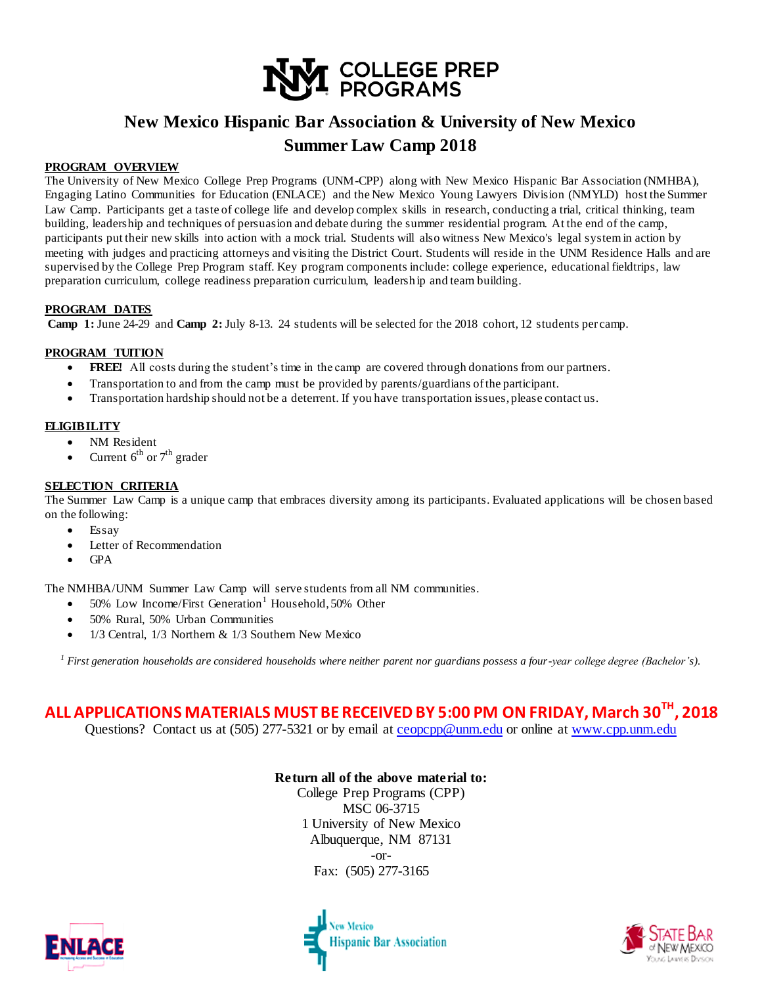

# **New Mexico Hispanic Bar Association & University of New Mexico Summer Law Camp 2018**

#### **PROGRAM OVERVIEW**

The University of New Mexico College Prep Programs (UNM-CPP) along with New Mexico Hispanic Bar Association (NMHBA), Engaging Latino Communities for Education (ENLACE) and the New Mexico Young Lawyers Division (NMYLD) host the Summer Law Camp. Participants get a taste of college life and develop complex skills in research, conducting a trial, critical thinking, team building, leadership and techniques of persuasion and debate during the summer residential program. At the end of the camp, participants put their new skills into action with a mock trial. Students will also witness New Mexico's legal system in action by meeting with judges and practicing attorneys and visiting the District Court. Students will reside in the UNM Residence Halls and are supervised by the College Prep Program staff. Key program components include: college experience, educational fieldtrips, law preparation curriculum, college readiness preparation curriculum, leadership and team building.

#### **PROGRAM DATES**

**Camp 1:** June 24-29 and **Camp 2:** July 8-13. 24 students will be selected for the 2018 cohort, 12 students per camp.

#### **PROGRAM TUITION**

- **FREE!** All costs during the student's time in the camp are covered through donations from our partners.
- Transportation to and from the camp must be provided by parents/guardians of the participant.
- Transportation hardship should not be a deterrent. If you have transportation issues, please contact us.

#### **ELIGIBILITY**

- NM Resident
- Current  $6^{th}$  or  $7^{th}$  grader

#### **SELECTION CRITERIA**

The Summer Law Camp is a unique camp that embraces diversity among its participants. Evaluated applications will be chosen based on the following:

- Essay
- Letter of Recommendation
- GPA

The NMHBA/UNM Summer Law Camp will serve students from all NM communities.

- 50% Low Income/First Generation<sup>1</sup> Household, 50% Other
- 50% Rural, 50% Urban Communities
- 1/3 Central, 1/3 Northern & 1/3 Southern New Mexico

*<sup>1</sup> First generation households are considered households where neither parent nor guardians possess a four-year college degree (Bachelor's).*

# **ALL APPLICATIONS MATERIALS MUST BE RECEIVED BY 5:00 PM ON FRIDAY, March 30TH , 2018**

Questions? Contact us at (505) 277-5321 or by email at [ceopcpp@unm.edu](mailto:ceopcpp@unm.edu) or online at [www.cpp.unm.edu](http://www.cpp.unm.edu/)

### **Return all of the above material to:**

College Prep Programs (CPP) MSC 06-3715 1 University of New Mexico Albuquerque, NM 87131 -or-Fax: (505) 277-3165





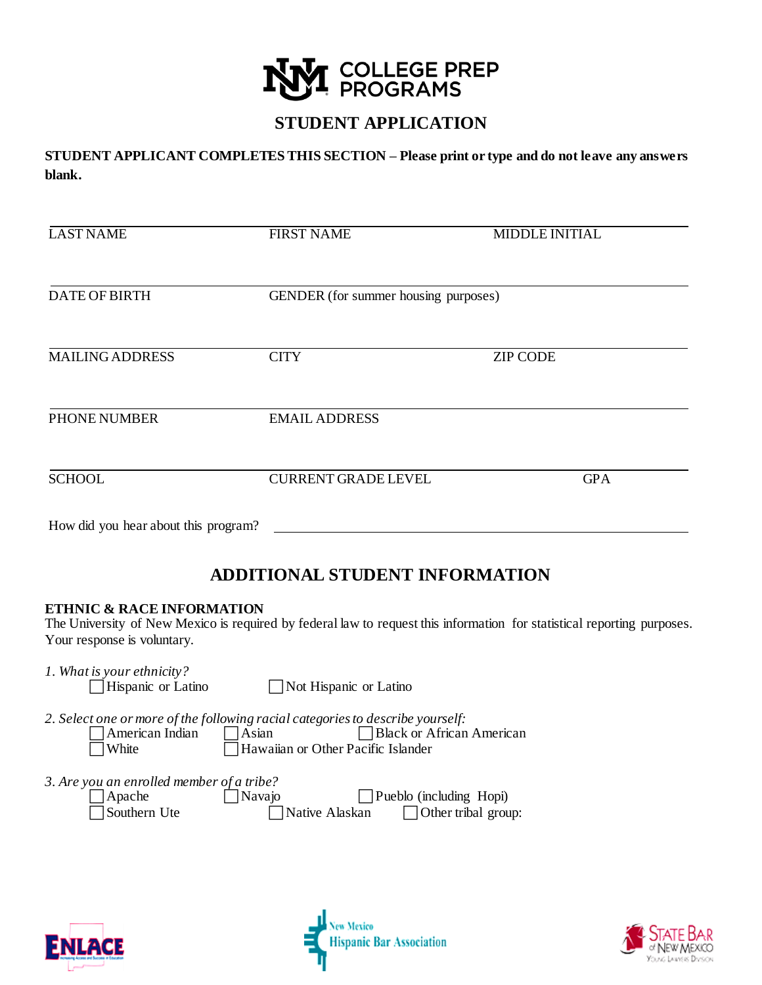

## **STUDENT APPLICATION**

**STUDENT APPLICANT COMPLETES THIS SECTION – Please print or type and do not leave any answers blank.** 

| <b>LAST NAME</b>                     | <b>FIRST NAME</b>                    | <b>MIDDLE INITIAL</b> |  |
|--------------------------------------|--------------------------------------|-----------------------|--|
|                                      |                                      |                       |  |
| <b>DATE OF BIRTH</b>                 | GENDER (for summer housing purposes) |                       |  |
|                                      |                                      |                       |  |
| <b>MAILING ADDRESS</b>               | <b>CITY</b>                          | <b>ZIP CODE</b>       |  |
|                                      |                                      |                       |  |
| <b>PHONE NUMBER</b>                  | <b>EMAIL ADDRESS</b>                 |                       |  |
|                                      |                                      |                       |  |
| <b>SCHOOL</b>                        | <b>CURRENT GRADE LEVEL</b>           | <b>GPA</b>            |  |
|                                      |                                      |                       |  |
| How did you hear about this program? |                                      |                       |  |

## **ADDITIONAL STUDENT INFORMATION**

### **ETHNIC & RACE INFORMATION**

The University of New Mexico is required by federal law to request this information for statistical reporting purposes. Your response is voluntary.

| 1. What is your ethnicity? |                            |  |  |
|----------------------------|----------------------------|--|--|
|                            | $\Box$ ILianonia on Lotino |  |  |

Hispanic or Latino 
Bold Not Hispanic or Latino

2. Select one or more of the following racial categories to describe yourself:<br>
American Indian Asian Alex or African

 $\Box$  Black or African American White **Hawaiian** or Other Pacific Islander

*3. Are you an enrolled member of a tribe?*

| $\vert$ Apache      | Navajo         | $\Box$ Pueblo (including Hopi) |
|---------------------|----------------|--------------------------------|
| $\Box$ Southern Ute | Native Alaskan | $\vert$ Other tribal group:    |





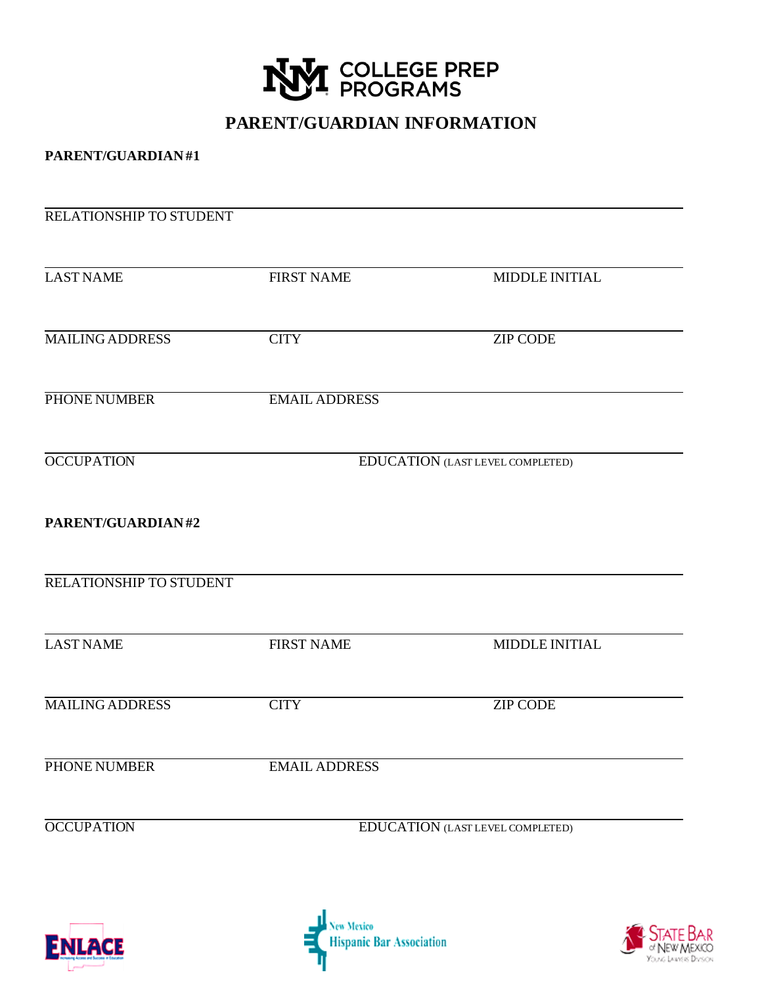

# **PARENT/GUARDIAN INFORMATION**

## **PARENT/GUARDIAN #1**

| RELATIONSHIP TO STUDENT |                                  |                 |  |
|-------------------------|----------------------------------|-----------------|--|
| <b>LAST NAME</b>        | <b>FIRST NAME</b>                | MIDDLE INITIAL  |  |
| <b>MAILING ADDRESS</b>  | <b>CITY</b>                      | <b>ZIP CODE</b> |  |
| PHONE NUMBER            | <b>EMAIL ADDRESS</b>             |                 |  |
| <b>OCCUPATION</b>       | EDUCATION (LAST LEVEL COMPLETED) |                 |  |
| PARENT/GUARDIAN#2       |                                  |                 |  |
| RELATIONSHIP TO STUDENT |                                  |                 |  |
| <b>LAST NAME</b>        | <b>FIRST NAME</b>                | MIDDLE INITIAL  |  |
| <b>MAILING ADDRESS</b>  | <b>CITY</b>                      | <b>ZIP CODE</b> |  |
| PHONE NUMBER            | <b>EMAIL ADDRESS</b>             |                 |  |
| <b>OCCUPATION</b>       | EDUCATION (LAST LEVEL COMPLETED) |                 |  |
|                         |                                  |                 |  |





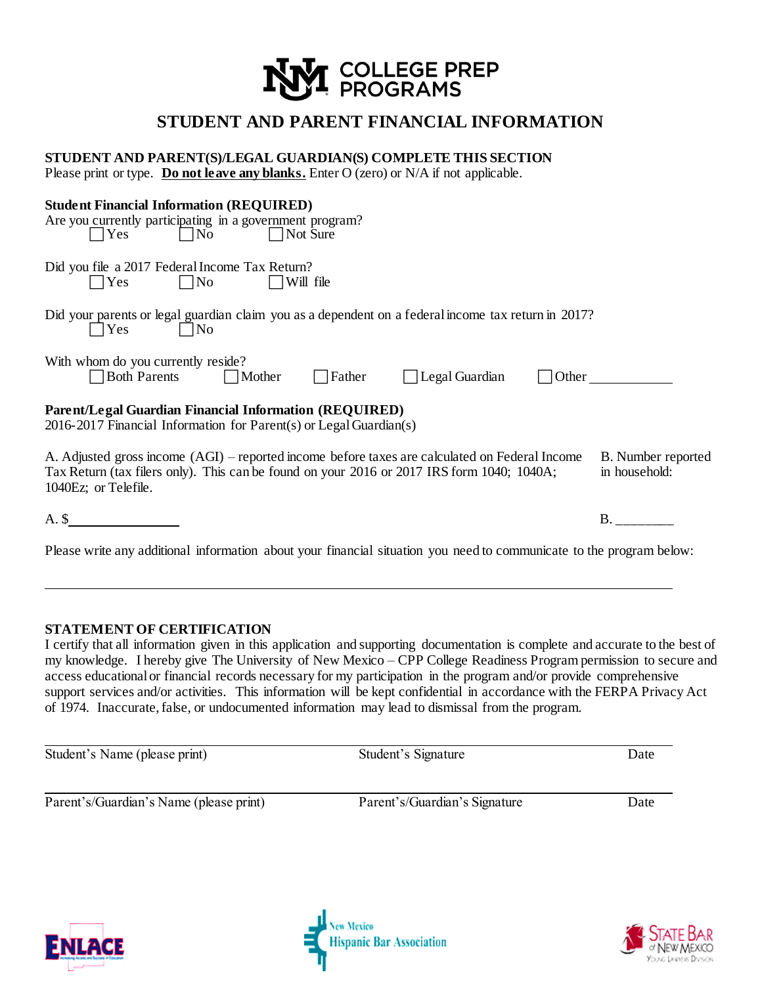

## **STUDENT AND PARENT FINANCIAL INFORMATION**

| STUDENT AND PARENT(S)/LEGAL GUARDIAN(S) COMPLETE THIS SECTION<br>Please print or type. Do not leave any blanks. Enter O (zero) or N/A if not applicable.                                                             |                                     |
|----------------------------------------------------------------------------------------------------------------------------------------------------------------------------------------------------------------------|-------------------------------------|
| <b>Student Financial Information (REQUIRED)</b><br>Are you currently participating in a government program?<br>$\Box$ No<br>$ $   Yes<br>    Not Sure                                                                |                                     |
| Did you file a 2017 Federal Income Tax Return?<br>$\Box$ No<br>$\Box$ Yes<br>$\Box$ Will file                                                                                                                        |                                     |
| Did your parents or legal guardian claim you as a dependent on a federal income tax return in 2017?<br>$\Box$ No<br>$\Box$ Yes                                                                                       |                                     |
| With whom do you currently reside?<br>$\Box$ Father $\Box$ Legal Guardian<br>Both Parents Mother                                                                                                                     | $\Box$ Other                        |
| Parent/Legal Guardian Financial Information (REQUIRED)<br>2016-2017 Financial Information for $Parent(s)$ or $Legendian(s)$                                                                                          |                                     |
| A. Adjusted gross income (AGI) – reported income before taxes are calculated on Federal Income<br>Tax Return (tax filers only). This can be found on your 2016 or 2017 IRS form 1040; 1040A;<br>1040Ez; or Telefile. | B. Number reported<br>in household: |
| $A.$ \$                                                                                                                                                                                                              | <b>B.</b>                           |
| Please write any additional information about your financial situation you need to communicate to the program below:                                                                                                 |                                     |

### **STATEMENT OF CERTIFICATION**

I certify that all information given in this application and supporting documentation is complete and accurate to the best of my knowledge. I hereby give The University of New Mexico – CPP College Readiness Program permission to secure and access educational or financial records necessary for my participation in the program and/or provide comprehensive support services and/or activities. This information will be kept confidential in accordance with the FERPA Privacy Act of 1974. Inaccurate, false, or undocumented information may lead to dismissal from the program.

| Student's Name (please print)           | Student's Signature           | Date |
|-----------------------------------------|-------------------------------|------|
| Parent's/Guardian's Name (please print) | Parent's/Guardian's Signature | Date |





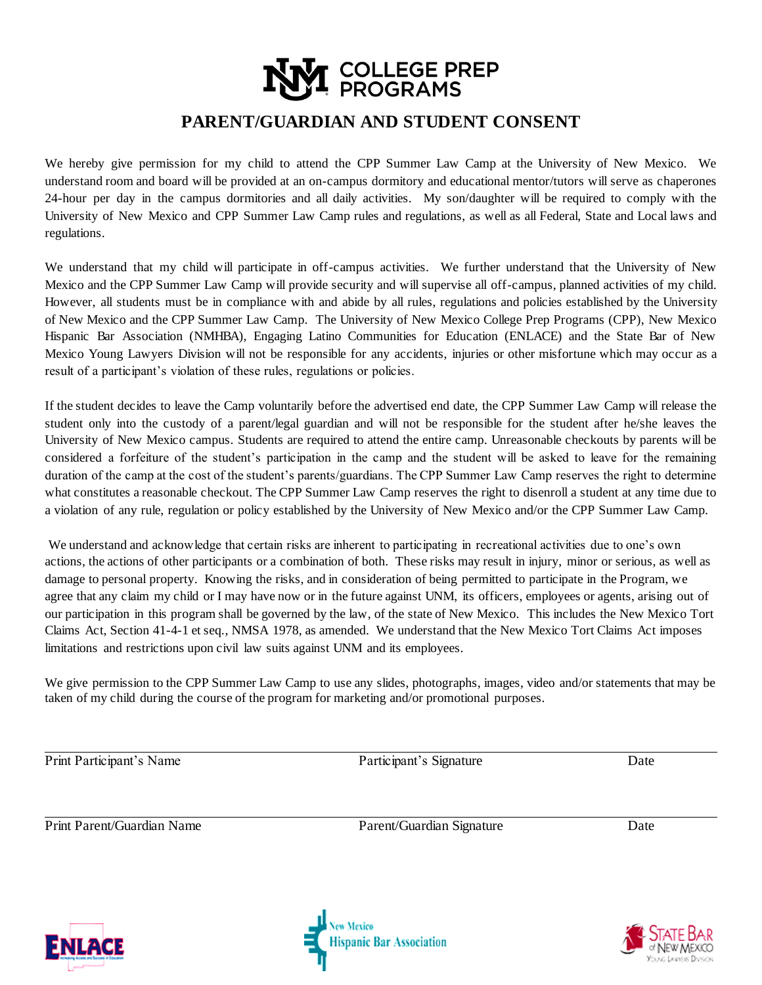# **COLLEGE PREP**<br>EPROGRAMS

# **PARENT/GUARDIAN AND STUDENT CONSENT**

We hereby give permission for my child to attend the CPP Summer Law Camp at the University of New Mexico. We understand room and board will be provided at an on-campus dormitory and educational mentor/tutors will serve as chaperones 24-hour per day in the campus dormitories and all daily activities. My son/daughter will be required to comply with the University of New Mexico and CPP Summer Law Camp rules and regulations, as well as all Federal, State and Local laws and regulations.

We understand that my child will participate in off-campus activities. We further understand that the University of New Mexico and the CPP Summer Law Camp will provide security and will supervise all off-campus, planned activities of my child. However, all students must be in compliance with and abide by all rules, regulations and policies established by the University of New Mexico and the CPP Summer Law Camp. The University of New Mexico College Prep Programs (CPP), New Mexico Hispanic Bar Association (NMHBA), Engaging Latino Communities for Education (ENLACE) and the State Bar of New Mexico Young Lawyers Division will not be responsible for any accidents, injuries or other misfortune which may occur as a result of a participant's violation of these rules, regulations or policies.

If the student decides to leave the Camp voluntarily before the advertised end date, the CPP Summer Law Camp will release the student only into the custody of a parent/legal guardian and will not be responsible for the student after he/she leaves the University of New Mexico campus. Students are required to attend the entire camp. Unreasonable checkouts by parents will be considered a forfeiture of the student's participation in the camp and the student will be asked to leave for the remaining duration of the camp at the cost of the student's parents/guardians. The CPP Summer Law Camp reserves the right to determine what constitutes a reasonable checkout. The CPP Summer Law Camp reserves the right to disenroll a student at any time due to a violation of any rule, regulation or policy established by the University of New Mexico and/or the CPP Summer Law Camp.

We understand and acknowledge that certain risks are inherent to participating in recreational activities due to one's own actions, the actions of other participants or a combination of both. These risks may result in injury, minor or serious, as well as damage to personal property. Knowing the risks, and in consideration of being permitted to participate in the Program, we agree that any claim my child or I may have now or in the future against UNM, its officers, employees or agents, arising out of our participation in this program shall be governed by the law, of the state of New Mexico. This includes the New Mexico Tort Claims Act, Section 41-4-1 et seq., NMSA 1978, as amended. We understand that the New Mexico Tort Claims Act imposes limitations and restrictions upon civil law suits against UNM and its employees.

We give permission to the CPP Summer Law Camp to use any slides, photographs, images, video and/or statements that may be taken of my child during the course of the program for marketing and/or promotional purposes.

Print Participant's Name Date Participant's Signature Date

Print Parent/Guardian Name Parent/Guardian Signature Date





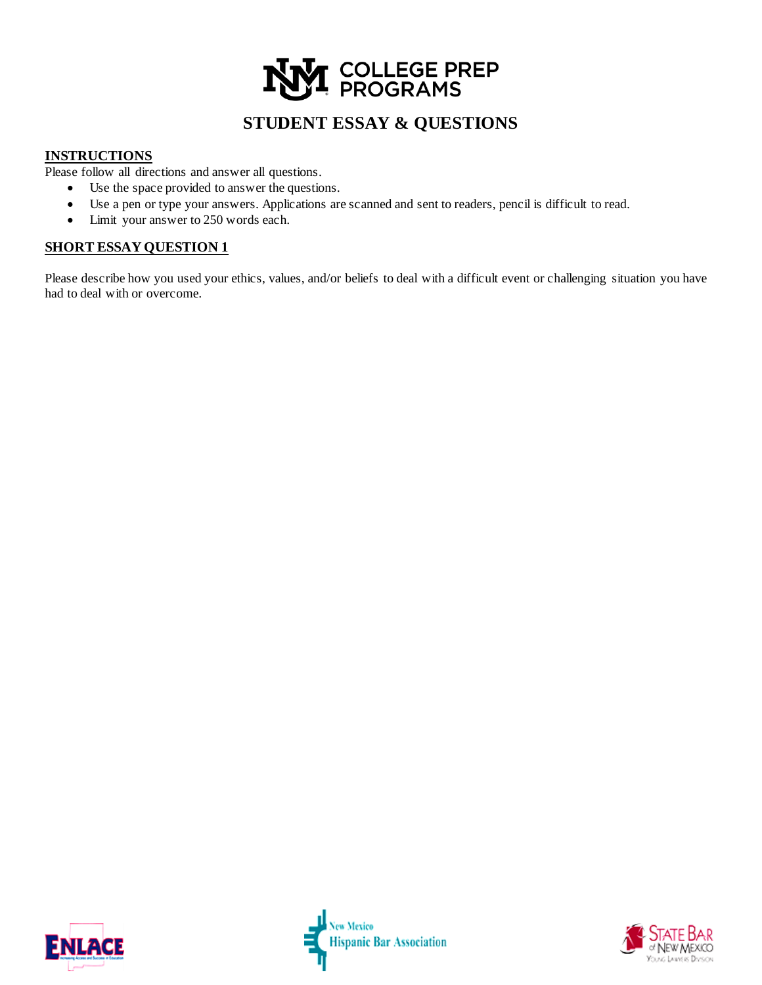# **[** COLLEGE PREP<br>! PROGRAMS

# **STUDENT ESSAY & QUESTIONS**

## **INSTRUCTIONS**

Please follow all directions and answer all questions.

- Use the space provided to answer the questions.
- Use a pen or type your answers. Applications are scanned and sent to readers, pencil is difficult to read.
- Limit your answer to 250 words each.

## **SHORT ESSAY QUESTION 1**

Please describe how you used your ethics, values, and/or beliefs to deal with a difficult event or challenging situation you have had to deal with or overcome.



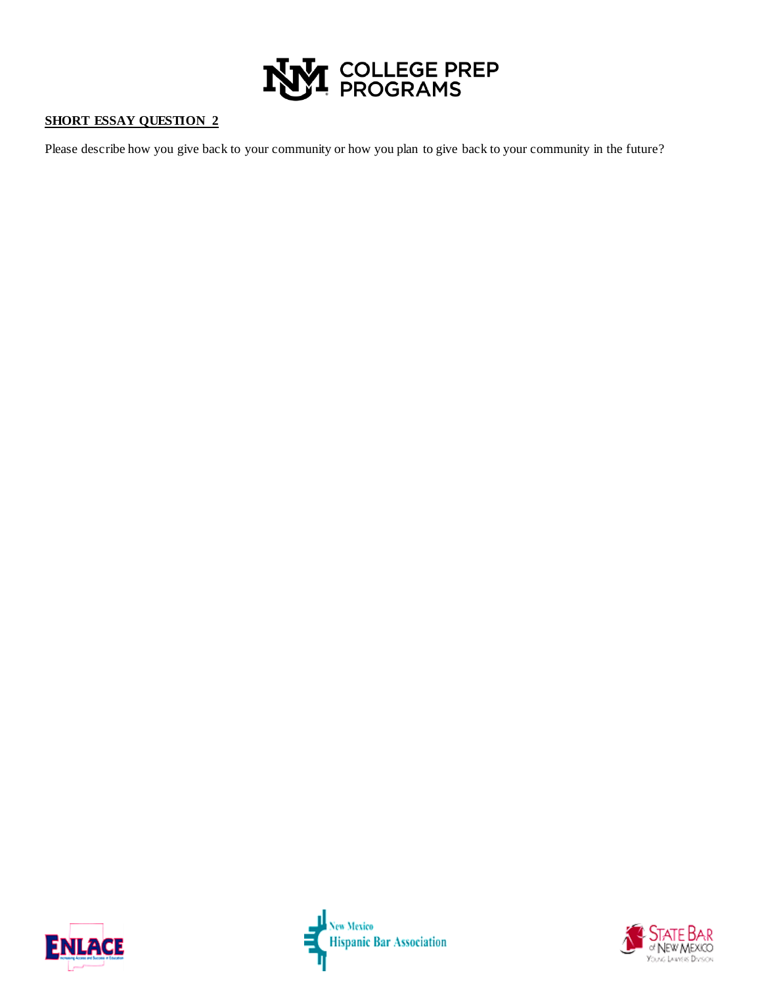

## **SHORT ESSAY QUESTION 2**

Please describe how you give back to your community or how you plan to give back to your community in the future?



l New Mexico<br>| Hispanic Bar Association<br>|-

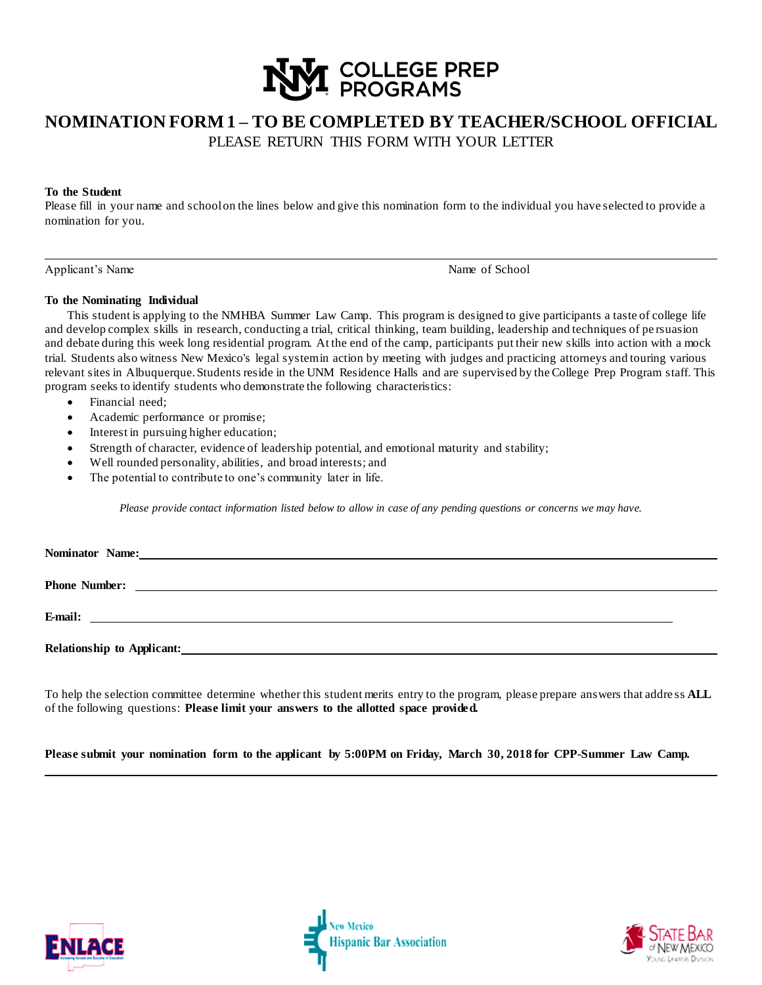

## **NOMINATION FORM 1 – TO BE COMPLETED BY TEACHER/SCHOOL OFFICIAL**  PLEASE RETURN THIS FORM WITH YOUR LETTER

#### **To the Student**

Please fill in your name and school on the lines below and give this nomination form to the individual you have selected to provide a nomination for you.

Applicant's Name of School

#### **To the Nominating Individual**

This student is applying to the NMHBA Summer Law Camp. This program is designed to give participants a taste of college life and develop complex skills in research, conducting a trial, critical thinking, team building, leadership and techniques of pe rsuasion and debate during this week long residential program. At the end of the camp, participants put their new skills into action with a mock trial. Students also witness New Mexico's legal systemin action by meeting with judges and practicing attorneys and touring various relevant sites in Albuquerque. Students reside in the UNM Residence Halls and are supervised by the College Prep Program staff. This program seeks to identify students who demonstrate the following characteristics:

- Financial need;
- Academic performance or promise;
- Interest in pursuing higher education;
- Strength of character, evidence of leadership potential, and emotional maturity and stability;
- Well rounded personality, abilities, and broad interests; and
- The potential to contribute to one's community later in life.

*Please provide contact information listed below to allow in case of any pending questions or concerns we may have.*

| Nominator Name: |  |
|-----------------|--|
|                 |  |
|                 |  |
|                 |  |
|                 |  |
|                 |  |
|                 |  |
|                 |  |

To help the selection committee determine whether this student merits entry to the program, please prepare answers that addre ss **ALL**  of the following questions: **Please limit your answers to the allotted space provided.**

**Please submit your nomination form to the applicant by 5:00PM on Friday, March 30, 2018 for CPP-Summer Law Camp.**